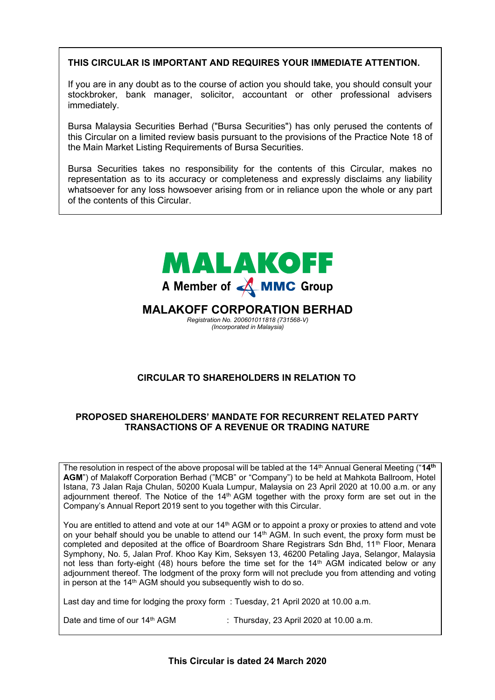# **THIS CIRCULAR IS IMPORTANT AND REQUIRES YOUR IMMEDIATE ATTENTION.**

If you are in any doubt as to the course of action you should take, you should consult your stockbroker, bank manager, solicitor, accountant or other professional advisers **Immediately. If you are in any of action to be taken to be taken the stockbroker, you should consult the stockbroker, stockbroker, and the stockbroker, stockbroker, and the stockbroker, and the stockbroker, and the stoc** Immediately. In any other in any doubt as to the course of action you should consult you should consult you should consult you should consult you should consult you should consult you should consult you should consult you If you are in any doubt as to the course of action you should consult you should take, you should consult you should consult you should consult you should consult you should consult you should consult you should consult y  $\sum_{i=1}^{n}$  you are in any order of action  $y$ .

Bursa Malaysia Securities Berhad ("Bursa Securities") has only perused the contents of this Circular on a limited review basis pursuant to the provisions of the Practice Note 18 of the Main Market Listing Requirements of Bursa Securities. stockbroker, bank manager, solicitor, accountant or other professional advisers Bursa Malaysia Securities Berhad ("Bursa Securities") has only perused the contents of  $\mathcal{S}$  Malaysia Securities Berhad ("Bursa") has only perused the contents of  $\mathcal{S}$ Bursa Malaysia Securities Berhad **("Bursa Securities")** has not perused the contents of this Statement prior to its

Bursa Securities takes no responsibility for the contents of this Circular, makes no representation as to its accuracy or completeness and expressly disclaims any liability whatsoever for any loss howsoever arising from or in reliance upon the whole or any part<br>of the contente of this Circular of the contents of this Circular. The completeness and expression and expression of this Circular, makes no re this Circular on a limited review basis pursuant to the provisions of the Practice Note 18 of Bursa Securities takes no responsibility for the contents of this Circular, makes no  $r$  and complete or any line complete. Bursa Securities takes no responsibility for the contents of this Circular, makes how

where  $\alpha$  is any loss hows how in reliance upon the whole or in reliance upon the whole or any part  $\alpha$ 

where  $\alpha$  is any loss hows how in reliance upon the whole or in reliance upon the whole or any part  $\alpha$ 



# **CIRCULAR TO SHAREHOLDERS IN RELATION TO CIRCULAR TO SHAREHOLDERS IN RELATION TO CIRCULAR TO SHAREHOLDERS IN RELATION TO SHARE BUY-BACK STATEMENT TO SHAREHOLDERS**

#### PROPOSED SHAREHOLDERS' MANDATE FOR RECURRENT RELATED PARTY **TRANSACTIONS OF A REVENUE OR TRADING NATURE TROPOSED SHAREHOLDERS MANDATE FOR RECORRENT RELATED FARTY**

The resolution in respect of the above proposal will be tabled at the 14<sup>th</sup> Annual General Meeting ("14<sup>th</sup> AGM") of Malakoff Corporation Berhad ("MCB" or "Company") to be held at Mahkota Ballroom, Hotel Istana, 73 Jalan Raja Chulan, 50200 Kuala Lumpur, Malaysia on 23 April 2020 at 10.00 a.m. or any agogammon and vote at the toward of and vote at the vote at the proxy form are set out in the Company's Applied Benefit 2010 sent to volutionalism with the Circular Company's Annual Report 2019 sent to you together with this Circular. Istana, 73 Jalan Raja Chulan, 50200 Kuala Lumpur, Malaysia on 23 April 2020 at 10.00 a.m. or any<br>adjournment thereof. The Notice of the 14<sup>th</sup> AGM together with the proxy form are set out in the Company's Annual Report 2019 sent to you together with this Circular. **AGM**") of Malakoff Corporation Berhad ("MCB" or "Company") to be held at Mahkota Ballroom, Hotel istana, 73 Jalan Raja Chulan, 50200 Kuala Lumpur, Malaysia on 23 April 2020 at 10.00 a.m. or any adjournment thereof. The Notice of the 14<sup>th</sup> AGM together with the proxy form are set out in the

You are entitled to attend and vote at our 14<sup>th</sup> AGM or to appoint a proxy or proxies to attend and vote on your behalf should you be unable to attend our 14th AGM. In such event, the proxy form must be<br>on your behalf should you be unable to attend our 14th AGM. In such event, the proxy form must be completed and deposited at the office of Boardroom Share Registrars Sdn Bhd, 11<sup>th</sup> Floor, Menara completed and deposited at the once of Boardroom onare registrars our Brid, TT Triod, Menara<br>Symphony, No. 5, Jalan Prof. Khoo Kay Kim, Seksyen 13, 46200 Petaling Jaya, Selangor, Malaysia of the state of the state of the state of the set of the 14<sup>th</sup> AGM indicated below or any not less than forty-eight (48) hours before the time set for the 14<sup>th</sup> AGM indicated below or any adjournment incredit. The loaging it is the proxy form will not precided you not rationally and voting<br>in person at the 14<sup>th</sup> AGM should you subsequently wish to do so. not less than forty-eight (48) hours before the time set for the 14th AGM indicated below or any<br>adjournment thereof. The lodgment of the proxy form will not preclude you from attending and voting in person at the 14th AGM should you subsequently wish to do so. in person at the 14th AGM should you subsequently wish to do so. voting in person at the 14th AGM should you subsequently wish to do so. on your behalf should you be unable to attend our 14th AGM. In such event, the proxy form must be completed and deposited at the office of Boardroom Share Registrars Sdn Bhd, 11th Floor, Menara Symphony, No. 5, Jalan Prof. Khoo Kay Kim, Seksyen 13, 46200 Petaling Jaya, Selangor, Malaysia not less than forty-eight (48) hours before the time set for the 14<sup>th</sup> AGM indicated below or any adjournment thereof. The lodgment of the proxy form will not preclude you from attending and voting

Last day and time for lodging the proxy form :Tuesday, 21 April 2020 at 10.00 a.m. Last day and time for lodging the proxy form : Tuesday, 21 April 2020 at 10.00 a.m. Last any and time for loaging the proxy form  $\therefore$  Theoday, 23 April 2020 at 10.00 a.m.

Date and time of our 14<sup>th</sup> AGM : Thursday, 23 April 2020 at 10.00 a.m.

**This Circular is dated 24 March 2020**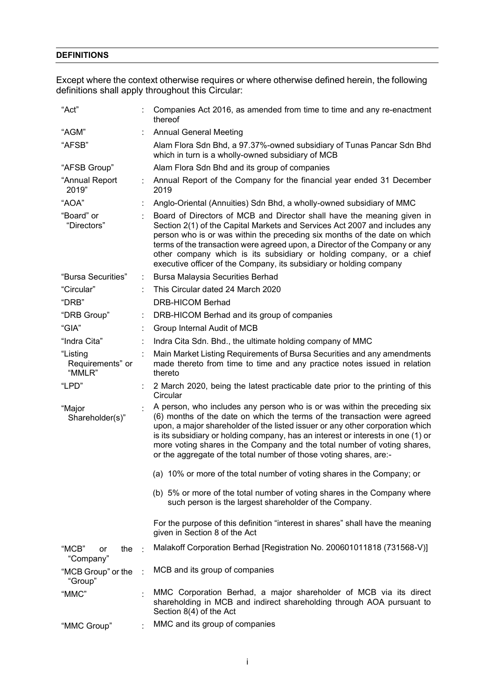# **DEFINITIONS**

Except where the context otherwise requires or where otherwise defined herein, the following definitions shall apply throughout this Circular:

| "Act"                                  |                                                                                                                                                                                                                                                                                                                                                                                                                                                                             | Companies Act 2016, as amended from time to time and any re-enactment<br>thereof                                                                                                                                                                                                                                                                                                                                                                                |
|----------------------------------------|-----------------------------------------------------------------------------------------------------------------------------------------------------------------------------------------------------------------------------------------------------------------------------------------------------------------------------------------------------------------------------------------------------------------------------------------------------------------------------|-----------------------------------------------------------------------------------------------------------------------------------------------------------------------------------------------------------------------------------------------------------------------------------------------------------------------------------------------------------------------------------------------------------------------------------------------------------------|
| "AGM"                                  |                                                                                                                                                                                                                                                                                                                                                                                                                                                                             | <b>Annual General Meeting</b>                                                                                                                                                                                                                                                                                                                                                                                                                                   |
| "AFSB"                                 |                                                                                                                                                                                                                                                                                                                                                                                                                                                                             | Alam Flora Sdn Bhd, a 97.37%-owned subsidiary of Tunas Pancar Sdn Bhd<br>which in turn is a wholly-owned subsidiary of MCB                                                                                                                                                                                                                                                                                                                                      |
| "AFSB Group"                           |                                                                                                                                                                                                                                                                                                                                                                                                                                                                             | Alam Flora Sdn Bhd and its group of companies                                                                                                                                                                                                                                                                                                                                                                                                                   |
| "Annual Report<br>2019"                |                                                                                                                                                                                                                                                                                                                                                                                                                                                                             | Annual Report of the Company for the financial year ended 31 December<br>2019                                                                                                                                                                                                                                                                                                                                                                                   |
| "AOA"                                  |                                                                                                                                                                                                                                                                                                                                                                                                                                                                             | Anglo-Oriental (Annuities) Sdn Bhd, a wholly-owned subsidiary of MMC                                                                                                                                                                                                                                                                                                                                                                                            |
| "Board" or<br>"Directors"              |                                                                                                                                                                                                                                                                                                                                                                                                                                                                             | Board of Directors of MCB and Director shall have the meaning given in<br>Section 2(1) of the Capital Markets and Services Act 2007 and includes any<br>person who is or was within the preceding six months of the date on which<br>terms of the transaction were agreed upon, a Director of the Company or any<br>other company which is its subsidiary or holding company, or a chief<br>executive officer of the Company, its subsidiary or holding company |
| "Bursa Securities"                     | ÷                                                                                                                                                                                                                                                                                                                                                                                                                                                                           | <b>Bursa Malaysia Securities Berhad</b>                                                                                                                                                                                                                                                                                                                                                                                                                         |
| "Circular"                             |                                                                                                                                                                                                                                                                                                                                                                                                                                                                             | This Circular dated 24 March 2020                                                                                                                                                                                                                                                                                                                                                                                                                               |
| "DRB"                                  |                                                                                                                                                                                                                                                                                                                                                                                                                                                                             | DRB-HICOM Berhad                                                                                                                                                                                                                                                                                                                                                                                                                                                |
| "DRB Group"                            |                                                                                                                                                                                                                                                                                                                                                                                                                                                                             | DRB-HICOM Berhad and its group of companies                                                                                                                                                                                                                                                                                                                                                                                                                     |
| "GIA"                                  |                                                                                                                                                                                                                                                                                                                                                                                                                                                                             | Group Internal Audit of MCB                                                                                                                                                                                                                                                                                                                                                                                                                                     |
| "Indra Cita"                           |                                                                                                                                                                                                                                                                                                                                                                                                                                                                             | Indra Cita Sdn. Bhd., the ultimate holding company of MMC                                                                                                                                                                                                                                                                                                                                                                                                       |
| "Listing<br>Requirements" or<br>"MMLR" |                                                                                                                                                                                                                                                                                                                                                                                                                                                                             | Main Market Listing Requirements of Bursa Securities and any amendments<br>made thereto from time to time and any practice notes issued in relation<br>thereto                                                                                                                                                                                                                                                                                                  |
| "LPD"                                  |                                                                                                                                                                                                                                                                                                                                                                                                                                                                             | 2 March 2020, being the latest practicable date prior to the printing of this<br>Circular                                                                                                                                                                                                                                                                                                                                                                       |
| "Major<br>Shareholder(s)"              | A person, who includes any person who is or was within the preceding six<br>(6) months of the date on which the terms of the transaction were agreed<br>upon, a major shareholder of the listed issuer or any other corporation which<br>is its subsidiary or holding company, has an interest or interests in one (1) or<br>more voting shares in the Company and the total number of voting shares,<br>or the aggregate of the total number of those voting shares, are:- |                                                                                                                                                                                                                                                                                                                                                                                                                                                                 |
|                                        |                                                                                                                                                                                                                                                                                                                                                                                                                                                                             | (a) 10% or more of the total number of voting shares in the Company; or                                                                                                                                                                                                                                                                                                                                                                                         |
|                                        |                                                                                                                                                                                                                                                                                                                                                                                                                                                                             | (b) 5% or more of the total number of voting shares in the Company where<br>such person is the largest shareholder of the Company.                                                                                                                                                                                                                                                                                                                              |
|                                        |                                                                                                                                                                                                                                                                                                                                                                                                                                                                             | For the purpose of this definition "interest in shares" shall have the meaning<br>given in Section 8 of the Act                                                                                                                                                                                                                                                                                                                                                 |
| "MCB"<br>the<br>or<br>"Company"        |                                                                                                                                                                                                                                                                                                                                                                                                                                                                             | Malakoff Corporation Berhad [Registration No. 200601011818 (731568-V)]                                                                                                                                                                                                                                                                                                                                                                                          |
| "MCB Group" or the<br>"Group"          |                                                                                                                                                                                                                                                                                                                                                                                                                                                                             | MCB and its group of companies                                                                                                                                                                                                                                                                                                                                                                                                                                  |
| "MMC"                                  |                                                                                                                                                                                                                                                                                                                                                                                                                                                                             | MMC Corporation Berhad, a major shareholder of MCB via its direct<br>shareholding in MCB and indirect shareholding through AOA pursuant to<br>Section 8(4) of the Act                                                                                                                                                                                                                                                                                           |
| "MMC Group"                            |                                                                                                                                                                                                                                                                                                                                                                                                                                                                             | MMC and its group of companies                                                                                                                                                                                                                                                                                                                                                                                                                                  |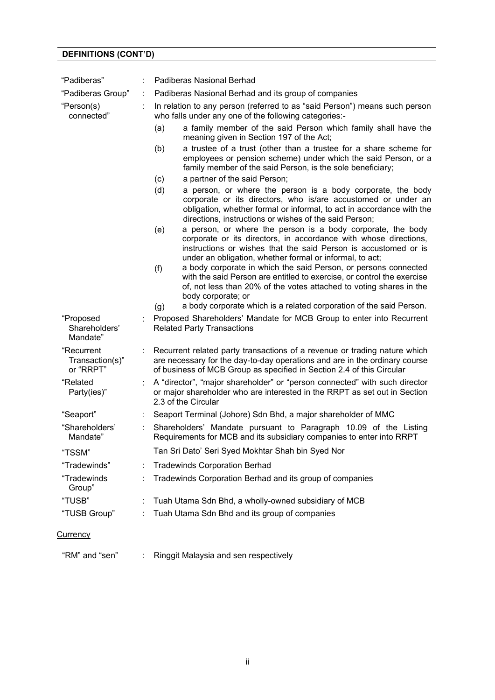# **DEFINITIONS (CONT'D)**

| "Padiberas"                                | <b>Padiberas Nasional Berhad</b>                                                                                                                                                                                                                                       |
|--------------------------------------------|------------------------------------------------------------------------------------------------------------------------------------------------------------------------------------------------------------------------------------------------------------------------|
| "Padiberas Group"                          | Padiberas Nasional Berhad and its group of companies                                                                                                                                                                                                                   |
| "Person(s)<br>connected"                   | In relation to any person (referred to as "said Person") means such person<br>who falls under any one of the following categories:-                                                                                                                                    |
|                                            | a family member of the said Person which family shall have the<br>(a)<br>meaning given in Section 197 of the Act;                                                                                                                                                      |
|                                            | (b)<br>a trustee of a trust (other than a trustee for a share scheme for<br>employees or pension scheme) under which the said Person, or a<br>family member of the said Person, is the sole beneficiary;                                                               |
|                                            | a partner of the said Person;<br>(c)                                                                                                                                                                                                                                   |
|                                            | (d)<br>a person, or where the person is a body corporate, the body<br>corporate or its directors, who is/are accustomed or under an<br>obligation, whether formal or informal, to act in accordance with the<br>directions, instructions or wishes of the said Person; |
|                                            | a person, or where the person is a body corporate, the body<br>(e)<br>corporate or its directors, in accordance with whose directions,<br>instructions or wishes that the said Person is accustomed or is<br>under an obligation, whether formal or informal, to act;  |
|                                            | a body corporate in which the said Person, or persons connected<br>(f)<br>with the said Person are entitled to exercise, or control the exercise<br>of, not less than 20% of the votes attached to voting shares in the<br>body corporate; or                          |
|                                            | a body corporate which is a related corporation of the said Person.<br>(g)                                                                                                                                                                                             |
| "Proposed<br>Shareholders'<br>Mandate"     | Proposed Shareholders' Mandate for MCB Group to enter into Recurrent<br><b>Related Party Transactions</b>                                                                                                                                                              |
| "Recurrent<br>Transaction(s)"<br>or "RRPT" | Recurrent related party transactions of a revenue or trading nature which<br>are necessary for the day-to-day operations and are in the ordinary course<br>of business of MCB Group as specified in Section 2.4 of this Circular                                       |
| "Related<br>Party(ies)"                    | A "director", "major shareholder" or "person connected" with such director<br>or major shareholder who are interested in the RRPT as set out in Section<br>2.3 of the Circular                                                                                         |
| "Seaport"                                  | Seaport Terminal (Johore) Sdn Bhd, a major shareholder of MMC                                                                                                                                                                                                          |
| "Shareholders"<br>Mandate"                 | Shareholders' Mandate pursuant to Paragraph 10.09 of the Listing<br>Requirements for MCB and its subsidiary companies to enter into RRPT                                                                                                                               |
| "TSSM"                                     | Tan Sri Dato' Seri Syed Mokhtar Shah bin Syed Nor                                                                                                                                                                                                                      |
| "Tradewinds"                               | <b>Tradewinds Corporation Berhad</b>                                                                                                                                                                                                                                   |
| "Tradewinds<br>Group"                      | Tradewinds Corporation Berhad and its group of companies                                                                                                                                                                                                               |
| "TUSB"                                     | Tuah Utama Sdn Bhd, a wholly-owned subsidiary of MCB                                                                                                                                                                                                                   |
| "TUSB Group"                               | Tuah Utama Sdn Bhd and its group of companies                                                                                                                                                                                                                          |
| <u>Currency</u>                            |                                                                                                                                                                                                                                                                        |
| "RM" and "sen"                             | Ringgit Malaysia and sen respectively                                                                                                                                                                                                                                  |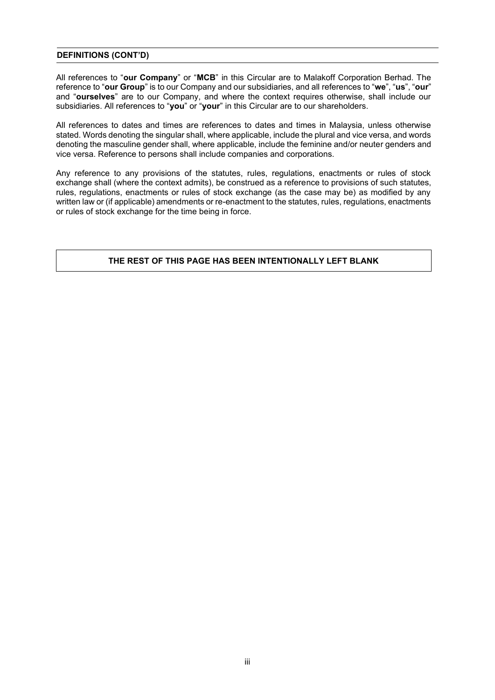# **DEFINITIONS (CONT'D)**

All references to "**our Company**" or "**MCB**" in this Circular are to Malakoff Corporation Berhad. The reference to "**our Group**" is to our Company and our subsidiaries, and all references to "**we**", "**us**", "**our**" and "**ourselves**" are to our Company, and where the context requires otherwise, shall include our subsidiaries. All references to "**you**" or "**your**" in this Circular are to our shareholders.

All references to dates and times are references to dates and times in Malaysia, unless otherwise stated. Words denoting the singular shall, where applicable, include the plural and vice versa, and words denoting the masculine gender shall, where applicable, include the feminine and/or neuter genders and vice versa. Reference to persons shall include companies and corporations.

Any reference to any provisions of the statutes, rules, regulations, enactments or rules of stock exchange shall (where the context admits), be construed as a reference to provisions of such statutes, rules, regulations, enactments or rules of stock exchange (as the case may be) as modified by any written law or (if applicable) amendments or re-enactment to the statutes, rules, regulations, enactments or rules of stock exchange for the time being in force.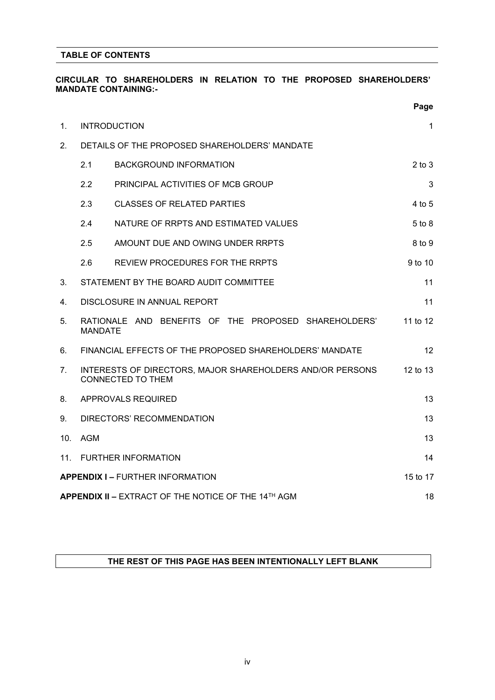# **TABLE OF CONTENTS**

# **CIRCULAR TO SHAREHOLDERS IN RELATION TO THE PROPOSED SHAREHOLDERS' MANDATE CONTAINING:-**

|     |                |                                                                                       | Page       |
|-----|----------------|---------------------------------------------------------------------------------------|------------|
| 1.  |                | <b>INTRODUCTION</b>                                                                   | 1          |
| 2.  |                | DETAILS OF THE PROPOSED SHAREHOLDERS' MANDATE                                         |            |
|     | 2.1            | <b>BACKGROUND INFORMATION</b>                                                         | $2$ to $3$ |
|     | 2.2            | PRINCIPAL ACTIVITIES OF MCB GROUP                                                     | 3          |
|     | 2.3            | <b>CLASSES OF RELATED PARTIES</b>                                                     | 4 to 5     |
|     | 2.4            | NATURE OF RRPTS AND ESTIMATED VALUES                                                  | $5$ to $8$ |
|     | 2.5            | AMOUNT DUE AND OWING UNDER RRPTS                                                      | 8 to 9     |
|     | 2.6            | REVIEW PROCEDURES FOR THE RRPTS                                                       | 9 to 10    |
| 3.  |                | STATEMENT BY THE BOARD AUDIT COMMITTEE                                                | 11         |
| 4.  |                | DISCLOSURE IN ANNUAL REPORT                                                           | 11         |
| 5.  | <b>MANDATE</b> | RATIONALE AND BENEFITS OF THE PROPOSED SHAREHOLDERS'                                  | 11 to 12   |
| 6.  |                | FINANCIAL EFFECTS OF THE PROPOSED SHAREHOLDERS' MANDATE                               | 12         |
| 7.  |                | INTERESTS OF DIRECTORS, MAJOR SHAREHOLDERS AND/OR PERSONS<br><b>CONNECTED TO THEM</b> | 12 to 13   |
| 8.  |                | APPROVALS REQUIRED                                                                    | 13         |
| 9.  |                | DIRECTORS' RECOMMENDATION                                                             | 13         |
| 10. | <b>AGM</b>     |                                                                                       | 13         |
| 11. |                | <b>FURTHER INFORMATION</b>                                                            | 14         |
|     |                | <b>APPENDIX I - FURTHER INFORMATION</b>                                               | 15 to 17   |
|     |                | APPENDIX II - EXTRACT OF THE NOTICE OF THE 14TH AGM                                   | 18         |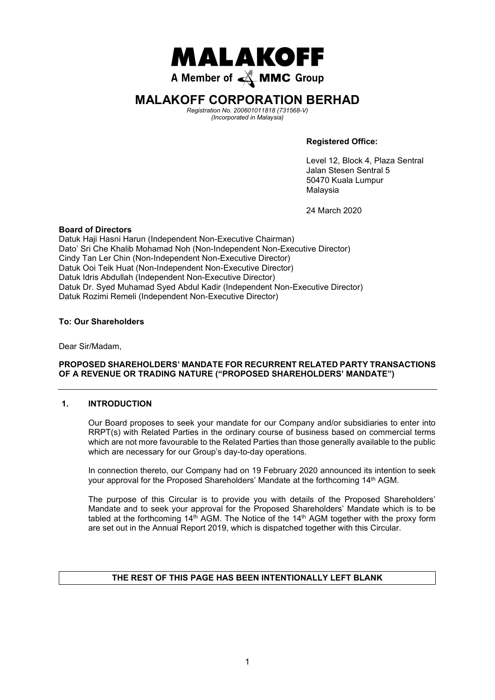

# **MALAKOFF CORPORATION BERHAD MALAKOFF CORPORATION BERHAD**

Registration No. 200601011818 (731568-V) *Registration No. 200601011818 (731568-V)*  (Incorporated in Malaysia) *(Incorporated in Malaysia)*

**Registered Office: Registered Office**

Level 12, Block 4, Plaza Sentral Jalan Stesen Sentral 5 50470 Kuala Lumpur Malaysia Level 12, Block 4, F

24 March 2020

24 March 2020

#### **Board of Directors**

Datuk Haji Hasni Harun (Independent Non-Executive Chairman) **Board of Directors**  Dato' Sri Che Khalib Mohamad Noh (Non-Independent Non-Executive Director)<br>Qiri Harun *Quadri (Independent Independent Independent* Cindy Tan Ler Chin (Non-Independent Non-Executive Director) Dato' Sri Che Khalib Mohamad Noh *(Non-Independent Non-Executive Director)* Datuk Ooi Teik Huat (Non-Independent Non-Executive Director) Cindy Tan Ler Chin *(Non-Independent Non-Executive Director)*  Datuk Idris Abdullah (Independent Non-Executive Director) Datuk Dr. Syed Muhamad Syed Abdul Kadir (Independent Non-Executive Director) Datuk Idris Abdullah *(Independent Non-Executive Director)* Datuk Rozimi Remeli (Independent Non-Executive Director)

# **To: Our Shareholders To: Our Shareholders**

Dear Sir/Madam, Dear Sir/Madam,

# **PROPOSED SHAREHOLDERS' MANDATE FOR RECURRENT RELATED PARTY TRANSACTIONS OF A REVENUE OR TRADING NATURE ("PROPOSED SHAREHOLDERS' MANDATE") 1. INTRODUCTION**

#### **1. INTRODUCTION**  $\mathcal{A}_{\mathcal{A}}$ from the renewal of authority for the Company to purchase up to the total percent (10%) of the total percent (10%) of the total percent (10%) of the total percent (10%) of the total percent (10%) of the total percent (10%)

Our Board proposes to seek your mandate for our Company and/or subsidiaries to enter into RRPT(s) with Related Parties in the ordinary course of business based on commercial terms which are not more favourable to the Related Parties than those generally available to the public which are necessary for our Group's day-to-day operations. r Board proposes to seek your mandate for our Cor

In connection thereto, our Company had on 19 February 2020 announced its intention to seek your approval for the Proposed Shareholders' Mandate at the forthcoming 14<sup>th</sup> AGM. Proposed Renewal of Share Buy-Back Authority to be tabled at the forthcoming 14th AGM.

The purpose of this Circular is to provide you with details of the Proposed Shareholders' Mandate and to seek your approval for the Proposed Shareholders' Mandate which is to be tabled at the forthcoming  $14<sup>th</sup>$  AGM. The Notice of the  $14<sup>th</sup>$  AGM together with the proxy form abled at the formoorling 14 Your. The Nettee of the 14 Your tegenter with the proxy to are set out in the Annual Report 2019, which is dispatched together with this Circular. resolution are Annual Report 2019, which is dispatched together with this Olicular.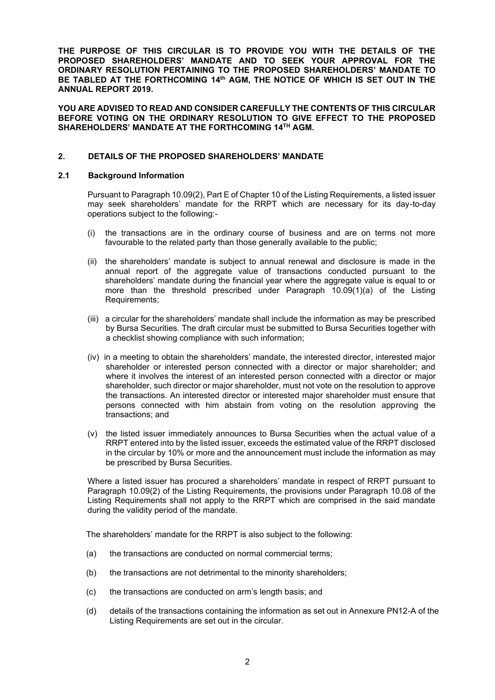**THE PURPOSE OF THIS CIRCULAR IS TO PROVIDE YOU WITH THE DETAILS OF THE PROPOSED SHAREHOLDERS' MANDATE AND TO SEEK YOUR APPROVAL FOR THE ORDINARY RESOLUTION PERTAINING TO THE PROPOSED SHAREHOLDERS' MANDATE TO BE TABLED AT THE FORTHCOMING 14th AGM, THE NOTICE OF WHICH IS SET OUT IN THE ANNUAL REPORT 2019.**

**YOU ARE ADVISED TO READ AND CONSIDER CAREFULLY THE CONTENTS OF THIS CIRCULAR BEFORE VOTING ON THE ORDINARY RESOLUTION TO GIVE EFFECT TO THE PROPOSED SHAREHOLDERS' MANDATE AT THE FORTHCOMING 14TH AGM.**

#### **2. DETAILS OF THE PROPOSED SHAREHOLDERS' MANDATE**

#### **2.1 Background Information**

Pursuant to Paragraph 10.09(2), Part E of Chapter 10 of the Listing Requirements, a listed issuer may seek shareholders' mandate for the RRPT which are necessary for its day-to-day operations subject to the following:-

- (i) the transactions are in the ordinary course of business and are on terms not more favourable to the related party than those generally available to the public;
- (ii) the shareholders' mandate is subject to annual renewal and disclosure is made in the annual report of the aggregate value of transactions conducted pursuant to the shareholders' mandate during the financial year where the aggregate value is equal to or more than the threshold prescribed under Paragraph 10.09(1)(a) of the Listing Requirements;
- (iii) a circular for the shareholders' mandate shall include the information as may be prescribed by Bursa Securities. The draft circular must be submitted to Bursa Securities together with a checklist showing compliance with such information;
- (iv) in a meeting to obtain the shareholders' mandate, the interested director, interested major shareholder or interested person connected with a director or major shareholder; and where it involves the interest of an interested person connected with a director or major shareholder, such director or major shareholder, must not vote on the resolution to approve the transactions. An interested director or interested major shareholder must ensure that persons connected with him abstain from voting on the resolution approving the transactions; and
- (v) the listed issuer immediately announces to Bursa Securities when the actual value of a RRPT entered into by the listed issuer, exceeds the estimated value of the RRPT disclosed in the circular by 10% or more and the announcement must include the information as may be prescribed by Bursa Securities.

Where a listed issuer has procured a shareholders' mandate in respect of RRPT pursuant to Paragraph 10.09(2) of the Listing Requirements, the provisions under Paragraph 10.08 of the Listing Requirements shall not apply to the RRPT which are comprised in the said mandate during the validity period of the mandate.

The shareholders' mandate for the RRPT is also subject to the following:

- (a) the transactions are conducted on normal commercial terms;
- (b) the transactions are not detrimental to the minority shareholders;
- (c) the transactions are conducted on arm's length basis; and
- (d) details of the transactions containing the information as set out in Annexure PN12-A of the Listing Requirements are set out in the circular.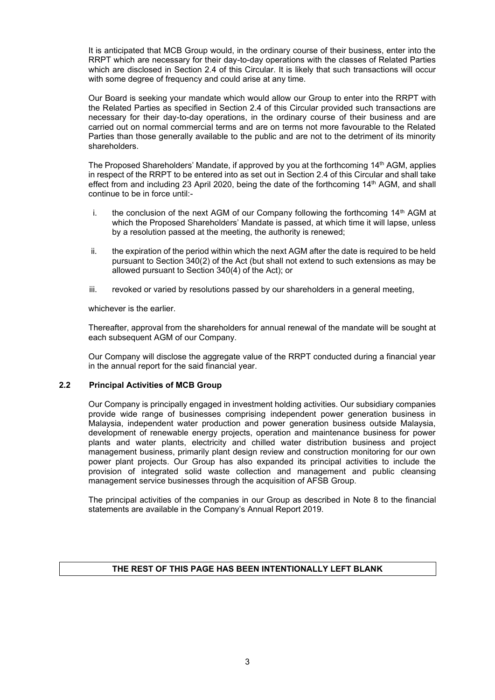It is anticipated that MCB Group would, in the ordinary course of their business, enter into the RRPT which are necessary for their day-to-day operations with the classes of Related Parties which are disclosed in Section 2.4 of this Circular. It is likely that such transactions will occur with some degree of frequency and could arise at any time.

Our Board is seeking your mandate which would allow our Group to enter into the RRPT with the Related Parties as specified in Section 2.4 of this Circular provided such transactions are necessary for their day-to-day operations, in the ordinary course of their business and are carried out on normal commercial terms and are on terms not more favourable to the Related Parties than those generally available to the public and are not to the detriment of its minority shareholders.

The Proposed Shareholders' Mandate, if approved by you at the forthcoming 14th AGM, applies in respect of the RRPT to be entered into as set out in Section 2.4 of this Circular and shall take effect from and including 23 April 2020, being the date of the forthcoming  $14<sup>th</sup>$  AGM, and shall continue to be in force until:-

- i. the conclusion of the next AGM of our Company following the forthcoming  $14<sup>th</sup>$  AGM at which the Proposed Shareholders' Mandate is passed, at which time it will lapse, unless by a resolution passed at the meeting, the authority is renewed;
- ii. the expiration of the period within which the next AGM after the date is required to be held pursuant to Section 340(2) of the Act (but shall not extend to such extensions as may be allowed pursuant to Section 340(4) of the Act); or
- iii. revoked or varied by resolutions passed by our shareholders in a general meeting,

whichever is the earlier.

Thereafter, approval from the shareholders for annual renewal of the mandate will be sought at each subsequent AGM of our Company.

Our Company will disclose the aggregate value of the RRPT conducted during a financial year in the annual report for the said financial year.

#### **2.2 Principal Activities of MCB Group**

Our Company is principally engaged in investment holding activities. Our subsidiary companies provide wide range of businesses comprising independent power generation business in Malaysia, independent water production and power generation business outside Malaysia, development of renewable energy projects, operation and maintenance business for power plants and water plants, electricity and chilled water distribution business and project management business, primarily plant design review and construction monitoring for our own power plant projects. Our Group has also expanded its principal activities to include the provision of integrated solid waste collection and management and public cleansing management service businesses through the acquisition of AFSB Group.

The principal activities of the companies in our Group as described in Note 8 to the financial statements are available in the Company's Annual Report 2019.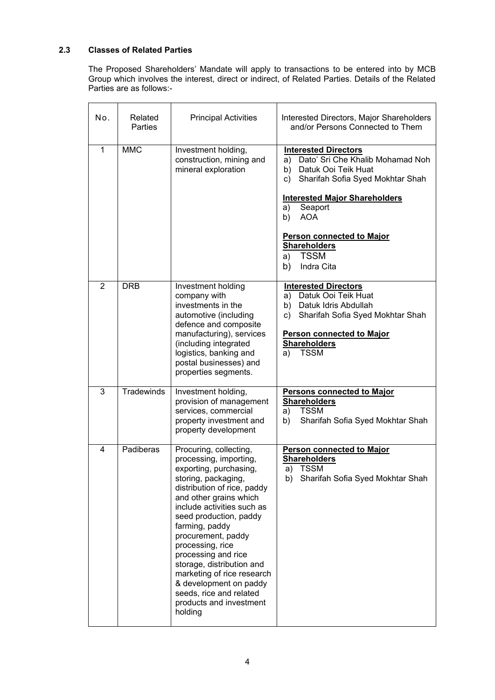# **2.3 Classes of Related Parties**

The Proposed Shareholders' Mandate will apply to transactions to be entered into by MCB Group which involves the interest, direct or indirect, of Related Parties. Details of the Related Parties are as follows:-

| No.            | Related<br>Parties | <b>Principal Activities</b>                                                                                                                                                                                                                                                                                                                                                                                                                                 | Interested Directors, Major Shareholders<br>and/or Persons Connected to Them                                                                                                                                                                                                                                               |
|----------------|--------------------|-------------------------------------------------------------------------------------------------------------------------------------------------------------------------------------------------------------------------------------------------------------------------------------------------------------------------------------------------------------------------------------------------------------------------------------------------------------|----------------------------------------------------------------------------------------------------------------------------------------------------------------------------------------------------------------------------------------------------------------------------------------------------------------------------|
| $\mathbf{1}$   | <b>MMC</b>         | Investment holding,<br>construction, mining and<br>mineral exploration                                                                                                                                                                                                                                                                                                                                                                                      | <b>Interested Directors</b><br>Dato' Sri Che Khalib Mohamad Noh<br>a)<br>b) Datuk Ooi Teik Huat<br>Sharifah Sofia Syed Mokhtar Shah<br>C)<br><b>Interested Major Shareholders</b><br>Seaport<br>a)<br><b>AOA</b><br>b)<br><b>Person connected to Major</b><br><b>Shareholders</b><br><b>TSSM</b><br>a)<br>b)<br>Indra Cita |
| $\overline{2}$ | <b>DRB</b>         | Investment holding<br>company with<br>investments in the<br>automotive (including<br>defence and composite<br>manufacturing), services<br>(including integrated<br>logistics, banking and<br>postal businesses) and<br>properties segments.                                                                                                                                                                                                                 | <b>Interested Directors</b><br>Datuk Ooi Teik Huat<br>a)<br>b) Datuk Idris Abdullah<br>Sharifah Sofia Syed Mokhtar Shah<br>c)<br>Person connected to Major<br><b>Shareholders</b><br><b>TSSM</b><br>a)                                                                                                                     |
| 3              | Tradewinds         | Investment holding,<br>provision of management<br>services, commercial<br>property investment and<br>property development                                                                                                                                                                                                                                                                                                                                   | <b>Persons connected to Major</b><br><b>Shareholders</b><br><b>TSSM</b><br>a)<br>Sharifah Sofia Syed Mokhtar Shah<br>b)                                                                                                                                                                                                    |
| 4              | Padiberas          | Procuring, collecting,<br>processing, importing,<br>exporting, purchasing,<br>storing, packaging,<br>distribution of rice, paddy<br>and other grains which<br>include activities such as<br>seed production, paddy<br>farming, paddy<br>procurement, paddy<br>processing, rice<br>processing and rice<br>storage, distribution and<br>marketing of rice research<br>& development on paddy<br>seeds, rice and related<br>products and investment<br>holding | <b>Person connected to Major</b><br><b>Shareholders</b><br>TSSM<br>a)<br>b) Sharifah Sofia Syed Mokhtar Shah                                                                                                                                                                                                               |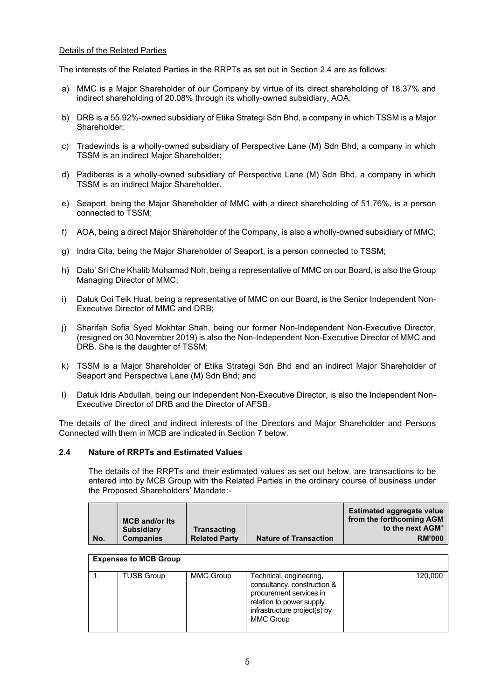#### Details of the Related Parties

The interests of the Related Parties in the RRPTs as set out in Section 2.4 are as follows:

- a) MMC is a Major Shareholder of our Company by virtue of its direct shareholding of 18.37% and indirect shareholding of 20.08% through its wholly-owned subsidiary, AOA;
- b) DRB is a 55.92%-owned subsidiary of Etika Strategi Sdn Bhd, a company in which TSSM is a Major Shareholder;
- c) Tradewinds is a wholly-owned subsidiary of Perspective Lane (M) Sdn Bhd, a company in which TSSM is an indirect Major Shareholder;
- d) Padiberas is a wholly-owned subsidiary of Perspective Lane (M) Sdn Bhd, a company in which TSSM is an indirect Major Shareholder.
- e) Seaport, being the Major Shareholder of MMC with a direct shareholding of 51.76%, is a person connected to TSSM;
- f) AOA, being a direct Major Shareholder of the Company, is also a wholly-owned subsidiary of MMC;
- g) Indra Cita, being the Major Shareholder of Seaport, is a person connected to TSSM;
- h) Dato' Sri Che Khalib Mohamad Noh, being a representative of MMC on our Board, is also the Group Managing Director of MMC;
- i) Datuk Ooi Teik Huat, being a representative of MMC on our Board, is the Senior Independent Non-Executive Director of MMC and DRB;
- j) Sharifah Sofia Syed Mokhtar Shah, being our former Non-Independent Non-Executive Director, (resigned on 30 November 2019) is also the Non-Independent Non-Executive Director of MMC and DRB. She is the daughter of TSSM;
- k) TSSM is a Major Shareholder of Etika Strategi Sdn Bhd and an indirect Major Shareholder of Seaport and Perspective Lane (M) Sdn Bhd; and
- l) Datuk Idris Abdullah, being our Independent Non-Executive Director, is also the Independent Non-Executive Director of DRB and the Director of AFSB.

The details of the direct and indirect interests of the Directors and Major Shareholder and Persons Connected with them in MCB are indicated in Section 7 below.

### **2.4 Nature of RRPTs and Estimated Values**

The details of the RRPTs and their estimated values as set out below, are transactions to be entered into by MCB Group with the Related Parties in the ordinary course of business under the Proposed Shareholders' Mandate:-

|     |                       |                      |                              | <b>Estimated aggregate value</b> |
|-----|-----------------------|----------------------|------------------------------|----------------------------------|
|     | <b>MCB and/or Its</b> |                      |                              | from the forthcoming AGM         |
|     | <b>Subsidiary</b>     | <b>Transacting</b>   |                              | to the next AGM <sup>+</sup>     |
| No. | <b>Companies</b>      | <b>Related Party</b> | <b>Nature of Transaction</b> | <b>RM'000</b>                    |

#### **Expenses to MCB Group**

| <b>TUSB Group</b> | MMC Group | Technical, engineering,<br>consultancy, construction &<br>procurement services in<br>relation to power supply<br>infrastructure project(s) by<br><b>MMC Group</b> | 120,000 |
|-------------------|-----------|-------------------------------------------------------------------------------------------------------------------------------------------------------------------|---------|
|                   |           |                                                                                                                                                                   |         |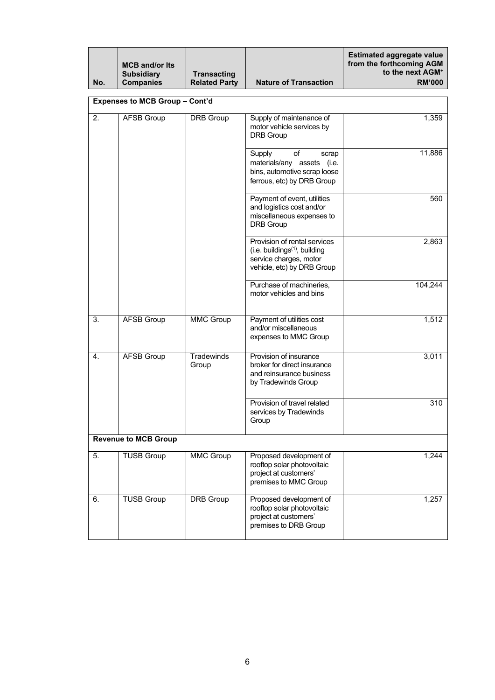| No. | <b>MCB and/or Its</b><br><b>Subsidiary</b><br><b>Companies</b> | <b>Transacting</b><br><b>Related Party</b> | <b>Nature of Transaction</b>                                                                                               | <b>Estimated aggregate value</b><br>from the forthcoming AGM<br>to the next AGM <sup>+</sup><br><b>RM'000</b> |
|-----|----------------------------------------------------------------|--------------------------------------------|----------------------------------------------------------------------------------------------------------------------------|---------------------------------------------------------------------------------------------------------------|
|     | <b>Expenses to MCB Group - Cont'd</b>                          |                                            |                                                                                                                            |                                                                                                               |
| 2.  | <b>AFSB Group</b>                                              | <b>DRB</b> Group                           | Supply of maintenance of<br>motor vehicle services by<br><b>DRB Group</b>                                                  | 1,359                                                                                                         |
|     |                                                                |                                            | of<br>Supply<br>scrap<br>materials/any assets (i.e.<br>bins, automotive scrap loose<br>ferrous, etc) by DRB Group          | 11,886                                                                                                        |
|     |                                                                |                                            | Payment of event, utilities<br>and logistics cost and/or<br>miscellaneous expenses to<br><b>DRB</b> Group                  | 560                                                                                                           |
|     |                                                                |                                            | Provision of rental services<br>$(i.e.$ buildings $(1)$ , building<br>service charges, motor<br>vehicle, etc) by DRB Group | 2,863                                                                                                         |
|     |                                                                |                                            | Purchase of machineries,<br>motor vehicles and bins                                                                        | 104,244                                                                                                       |
| 3.  | <b>AFSB Group</b>                                              | <b>MMC Group</b>                           | Payment of utilities cost<br>and/or miscellaneous<br>expenses to MMC Group                                                 | 1,512                                                                                                         |
| 4.  | <b>AFSB Group</b>                                              | Tradewinds<br>Group                        | Provision of insurance<br>broker for direct insurance<br>and reinsurance business<br>by Tradewinds Group                   | 3,011                                                                                                         |
|     |                                                                |                                            | Provision of travel related<br>services by Tradewinds<br>Group                                                             | 310                                                                                                           |
|     | <b>Revenue to MCB Group</b>                                    |                                            |                                                                                                                            |                                                                                                               |
| 5.  | <b>TUSB Group</b>                                              | <b>MMC Group</b>                           | Proposed development of<br>rooftop solar photovoltaic<br>project at customers'<br>premises to MMC Group                    | 1,244                                                                                                         |
| 6.  | <b>TUSB Group</b>                                              | DRB Group                                  | Proposed development of<br>rooftop solar photovoltaic<br>project at customers'<br>premises to DRB Group                    | 1,257                                                                                                         |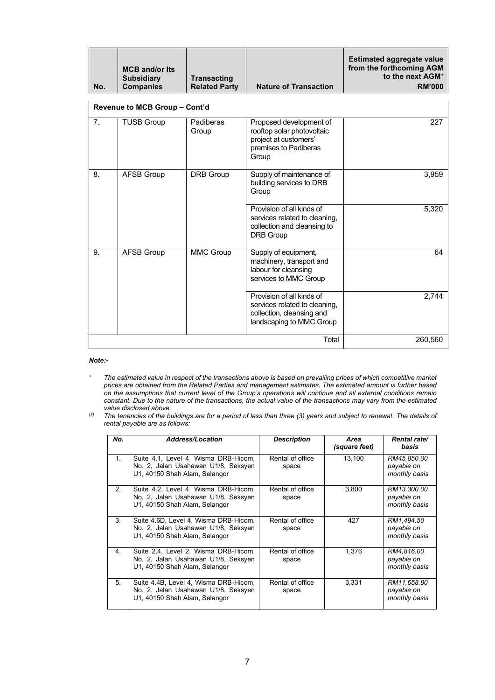| No.            | <b>MCB and/or Its</b><br><b>Subsidiary</b><br><b>Companies</b> | <b>Transacting</b><br><b>Related Party</b> | <b>Nature of Transaction</b>                                                                                        | <b>Estimated aggregate value</b><br>from the forthcoming AGM<br>to the next AGM <sup>+</sup><br><b>RM'000</b> |
|----------------|----------------------------------------------------------------|--------------------------------------------|---------------------------------------------------------------------------------------------------------------------|---------------------------------------------------------------------------------------------------------------|
|                | Revenue to MCB Group - Cont'd                                  |                                            |                                                                                                                     |                                                                                                               |
| 7 <sub>1</sub> | <b>TUSB Group</b>                                              | Padiberas<br>Group                         | Proposed development of<br>rooftop solar photovoltaic<br>project at customers'<br>premises to Padiberas<br>Group    | 227                                                                                                           |
| 8.             | <b>AFSB Group</b>                                              | <b>DRB</b> Group                           | Supply of maintenance of<br>building services to DRB<br>Group                                                       | 3,959                                                                                                         |
|                |                                                                |                                            | Provision of all kinds of<br>services related to cleaning,<br>collection and cleansing to<br><b>DRB Group</b>       | 5,320                                                                                                         |
| 9.             | <b>AFSB Group</b>                                              | <b>MMC Group</b>                           | Supply of equipment,<br>machinery, transport and<br>labour for cleansing<br>services to MMC Group                   | 64                                                                                                            |
|                |                                                                |                                            | Provision of all kinds of<br>services related to cleaning,<br>collection, cleansing and<br>landscaping to MMC Group | 2,744                                                                                                         |
|                |                                                                | Total                                      | 260,560                                                                                                             |                                                                                                               |

#### *Note:-*

- *<sup>+</sup> The estimated value in respect of the transactions above is based on prevailing prices of which competitive market prices are obtained from the Related Parties and management estimates. The estimated amount is further based on the assumptions that current level of the Group's operations will continue and all external conditions remain constant. Due to the nature of the transactions, the actual value of the transactions may vary from the estimated value disclosed above.*
- *(1) The tenancies of the buildings are for a period of less than three (3) years and subject to renewal. The details of rental payable are as follows:*

| No.            | <b>Address/Location</b>                                                                                       | <b>Description</b>        | Area<br>(square feet) | Rental rate/<br>basis                      |
|----------------|---------------------------------------------------------------------------------------------------------------|---------------------------|-----------------------|--------------------------------------------|
| $1_{-}$        | Suite 4.1, Level 4, Wisma DRB-Hicom,<br>No. 2, Jalan Usahawan U1/8, Seksyen<br>U1, 40150 Shah Alam, Selangor  | Rental of office<br>space | 13,100                | RM45.850.00<br>payable on<br>monthly basis |
| 2.             | Suite 4.2, Level 4, Wisma DRB-Hicom,<br>No. 2, Jalan Usahawan U1/8, Seksyen<br>U1, 40150 Shah Alam, Selangor  | Rental of office<br>space | 3,800                 | RM13,300.00<br>payable on<br>monthly basis |
| 3 <sub>1</sub> | Suite 4.6D, Level 4, Wisma DRB-Hicom,<br>No. 2, Jalan Usahawan U1/8, Seksyen<br>U1, 40150 Shah Alam, Selangor | Rental of office<br>space | 427                   | RM1,494.50<br>payable on<br>monthly basis  |
| 4.             | Suite 2.4, Level 2, Wisma DRB-Hicom,<br>No. 2, Jalan Usahawan U1/8, Seksyen<br>U1, 40150 Shah Alam, Selangor  | Rental of office<br>space | 1,376                 | RM4,816.00<br>payable on<br>monthly basis  |
| 5.             | Suite 4.4B, Level 4, Wisma DRB-Hicom,<br>No. 2, Jalan Usahawan U1/8, Seksyen<br>U1, 40150 Shah Alam, Selangor | Rental of office<br>space | 3,331                 | RM11,658.80<br>payable on<br>monthly basis |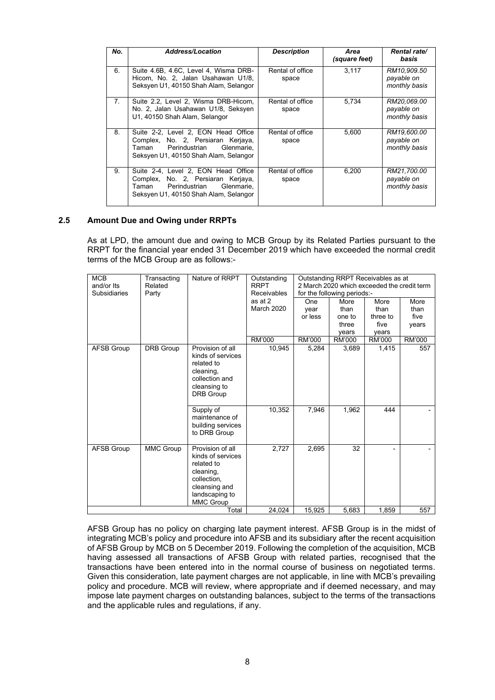| No.            | <b>Address/Location</b>                                                                                                                                 | <b>Description</b>        | Area<br>(square feet) | <b>Rental rate/</b><br>basis               |
|----------------|---------------------------------------------------------------------------------------------------------------------------------------------------------|---------------------------|-----------------------|--------------------------------------------|
| 6.             | Suite 4.6B, 4.6C, Level 4, Wisma DRB-<br>Hicom, No. 2, Jalan Usahawan U1/8,<br>Seksyen U1, 40150 Shah Alam, Selangor                                    | Rental of office<br>space | 3.117                 | RM10.909.50<br>payable on<br>monthly basis |
| 7 <sub>1</sub> | Suite 2.2, Level 2, Wisma DRB-Hicom,<br>No. 2, Jalan Usahawan U1/8, Seksyen<br>U1, 40150 Shah Alam, Selangor                                            | Rental of office<br>space | 5,734                 | RM20,069.00<br>payable on<br>monthly basis |
| 8              | Suite 2-2, Level 2, EON Head Office<br>Complex, No. 2, Persiaran Kerjaya,<br>Perindustrian Glenmarie.<br>Taman<br>Seksyen U1, 40150 Shah Alam, Selangor | Rental of office<br>space | 5.600                 | RM19,600.00<br>payable on<br>monthly basis |
| 9.             | Suite 2-4, Level 2, EON Head Office<br>Complex, No. 2, Persiaran Kerjaya,<br>Taman<br>Perindustrian Glenmarie.<br>Seksyen U1, 40150 Shah Alam, Selangor | Rental of office<br>space | 6,200                 | RM21,700.00<br>payable on<br>monthly basis |

#### **2.5 Amount Due and Owing under RRPTs**

As at LPD, the amount due and owing to MCB Group by its Related Parties pursuant to the RRPT for the financial year ended 31 December 2019 which have exceeded the normal credit terms of the MCB Group are as follows:-

| <b>MCB</b><br>and/or Its | Transacting<br>Related | Nature of RRPT                                                                                                                         | Outstanding<br><b>RRPT</b> |            | Outstanding RRPT Receivables as at<br>2 March 2020 which exceeded the credit term |          |               |
|--------------------------|------------------------|----------------------------------------------------------------------------------------------------------------------------------------|----------------------------|------------|-----------------------------------------------------------------------------------|----------|---------------|
| <b>Subsidiaries</b>      | Party                  |                                                                                                                                        | <b>Receivables</b>         |            | for the following periods:-                                                       |          |               |
|                          |                        |                                                                                                                                        | as at 2                    | <b>One</b> | More                                                                              | More     | More          |
|                          |                        |                                                                                                                                        | March 2020                 | year       | than                                                                              | than     | than          |
|                          |                        |                                                                                                                                        |                            | or less    | one to                                                                            | three to | five          |
|                          |                        |                                                                                                                                        |                            |            | three                                                                             | five     | years         |
|                          |                        |                                                                                                                                        |                            |            | years                                                                             | years    |               |
|                          |                        |                                                                                                                                        | RM'000                     | RM'000     | RM'000                                                                            | RM'000   | <b>RM'000</b> |
| <b>AFSB Group</b>        | DRB Group              | Provision of all<br>kinds of services<br>related to<br>cleaning,<br>collection and<br>cleansing to<br><b>DRB Group</b>                 | 10,945                     | 5,284      | 3,689                                                                             | 1,415    | 557           |
|                          |                        | Supply of<br>maintenance of<br>building services<br>to DRB Group                                                                       | 10,352                     | 7.946      | 1,962                                                                             | 444      |               |
| AFSB Group               | MMC Group              | Provision of all<br>kinds of services<br>related to<br>cleaning,<br>collection,<br>cleansing and<br>landscaping to<br><b>MMC Group</b> | 2,727                      | 2,695      | 32                                                                                |          |               |
|                          |                        | Total                                                                                                                                  | 24,024                     | 15,925     | 5,683                                                                             | 1,859    | 557           |

AFSB Group has no policy on charging late payment interest. AFSB Group is in the midst of integrating MCB's policy and procedure into AFSB and its subsidiary after the recent acquisition of AFSB Group by MCB on 5 December 2019. Following the completion of the acquisition, MCB having assessed all transactions of AFSB Group with related parties, recognised that the transactions have been entered into in the normal course of business on negotiated terms. Given this consideration, late payment charges are not applicable, in line with MCB's prevailing policy and procedure. MCB will review, where appropriate and if deemed necessary, and may impose late payment charges on outstanding balances, subject to the terms of the transactions and the applicable rules and regulations, if any.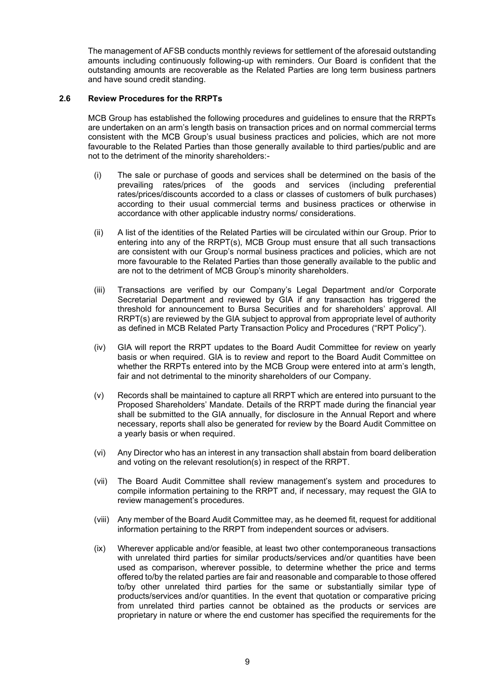The management of AFSB conducts monthly reviews for settlement of the aforesaid outstanding amounts including continuously following-up with reminders. Our Board is confident that the outstanding amounts are recoverable as the Related Parties are long term business partners and have sound credit standing.

#### **2.6 Review Procedures for the RRPTs**

MCB Group has established the following procedures and guidelines to ensure that the RRPTs are undertaken on an arm's length basis on transaction prices and on normal commercial terms consistent with the MCB Group's usual business practices and policies, which are not more favourable to the Related Parties than those generally available to third parties/public and are not to the detriment of the minority shareholders:-

- (i) The sale or purchase of goods and services shall be determined on the basis of the prevailing rates/prices of the goods and services (including preferential rates/prices/discounts accorded to a class or classes of customers of bulk purchases) according to their usual commercial terms and business practices or otherwise in accordance with other applicable industry norms/ considerations.
- (ii) A list of the identities of the Related Parties will be circulated within our Group. Prior to entering into any of the RRPT(s), MCB Group must ensure that all such transactions are consistent with our Group's normal business practices and policies, which are not more favourable to the Related Parties than those generally available to the public and are not to the detriment of MCB Group's minority shareholders.
- (iii) Transactions are verified by our Company's Legal Department and/or Corporate Secretarial Department and reviewed by GIA if any transaction has triggered the threshold for announcement to Bursa Securities and for shareholders' approval. All RRPT(s) are reviewed by the GIA subject to approval from appropriate level of authority as defined in MCB Related Party Transaction Policy and Procedures ("RPT Policy").
- (iv) GIA will report the RRPT updates to the Board Audit Committee for review on yearly basis or when required. GIA is to review and report to the Board Audit Committee on whether the RRPTs entered into by the MCB Group were entered into at arm's length, fair and not detrimental to the minority shareholders of our Company.
- (v) Records shall be maintained to capture all RRPT which are entered into pursuant to the Proposed Shareholders' Mandate. Details of the RRPT made during the financial year shall be submitted to the GIA annually, for disclosure in the Annual Report and where necessary, reports shall also be generated for review by the Board Audit Committee on a yearly basis or when required.
- (vi) Any Director who has an interest in any transaction shall abstain from board deliberation and voting on the relevant resolution(s) in respect of the RRPT.
- (vii) The Board Audit Committee shall review management's system and procedures to compile information pertaining to the RRPT and, if necessary, may request the GIA to review management's procedures.
- (viii) Any member of the Board Audit Committee may, as he deemed fit, request for additional information pertaining to the RRPT from independent sources or advisers.
- (ix) Wherever applicable and/or feasible, at least two other contemporaneous transactions with unrelated third parties for similar products/services and/or quantities have been used as comparison, wherever possible, to determine whether the price and terms offered to/by the related parties are fair and reasonable and comparable to those offered to/by other unrelated third parties for the same or substantially similar type of products/services and/or quantities. In the event that quotation or comparative pricing from unrelated third parties cannot be obtained as the products or services are proprietary in nature or where the end customer has specified the requirements for the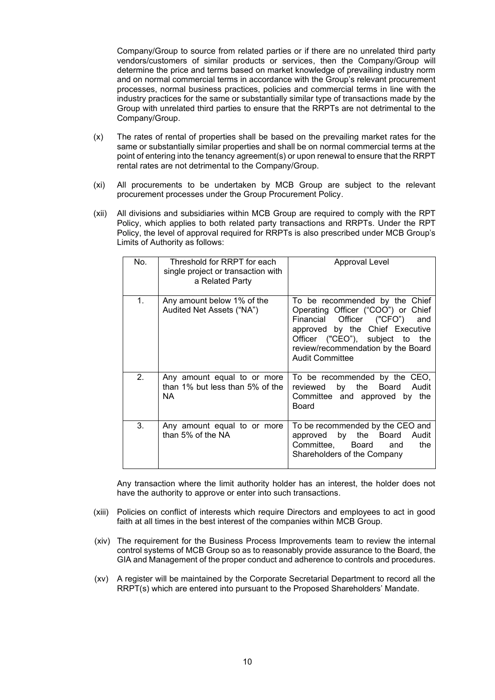Company/Group to source from related parties or if there are no unrelated third party vendors/customers of similar products or services, then the Company/Group will determine the price and terms based on market knowledge of prevailing industry norm and on normal commercial terms in accordance with the Group's relevant procurement processes, normal business practices, policies and commercial terms in line with the industry practices for the same or substantially similar type of transactions made by the Group with unrelated third parties to ensure that the RRPTs are not detrimental to the Company/Group.

- (x) The rates of rental of properties shall be based on the prevailing market rates for the same or substantially similar properties and shall be on normal commercial terms at the point of entering into the tenancy agreement(s) or upon renewal to ensure that the RRPT rental rates are not detrimental to the Company/Group.
- (xi) All procurements to be undertaken by MCB Group are subject to the relevant procurement processes under the Group Procurement Policy.
- (xii) All divisions and subsidiaries within MCB Group are required to comply with the RPT Policy, which applies to both related party transactions and RRPTs. Under the RPT Policy, the level of approval required for RRPTs is also prescribed under MCB Group's Limits of Authority as follows:

| No. | Threshold for RRPT for each<br>single project or transaction with<br>a Related Party | Approval Level                                                                                                                                                                                                                                 |
|-----|--------------------------------------------------------------------------------------|------------------------------------------------------------------------------------------------------------------------------------------------------------------------------------------------------------------------------------------------|
| 1.  | Any amount below 1% of the<br>Audited Net Assets ("NA")                              | To be recommended by the Chief<br>Operating Officer ("COO") or Chief<br>Financial Officer ("CFO")<br>and<br>approved by the Chief Executive<br>Officer ("CEO"), subject to the<br>review/recommendation by the Board<br><b>Audit Committee</b> |
| 2.  | Any amount equal to or more<br>than 1% but less than 5% of the<br>NA.                | To be recommended by the CEO,<br>by the Board<br>Audit<br>reviewed<br>Committee and approved by the<br>Board                                                                                                                                   |
| 3.  | Any amount equal to or more<br>than 5% of the NA                                     | To be recommended by the CEO and<br>approved by the Board Audit<br>Committee, Board<br>the<br>and<br>Shareholders of the Company                                                                                                               |

Any transaction where the limit authority holder has an interest, the holder does not have the authority to approve or enter into such transactions.

- (xiii) Policies on conflict of interests which require Directors and employees to act in good faith at all times in the best interest of the companies within MCB Group.
- (xiv) The requirement for the Business Process Improvements team to review the internal control systems of MCB Group so as to reasonably provide assurance to the Board, the GIA and Management of the proper conduct and adherence to controls and procedures.
- (xv) A register will be maintained by the Corporate Secretarial Department to record all the RRPT(s) which are entered into pursuant to the Proposed Shareholders' Mandate.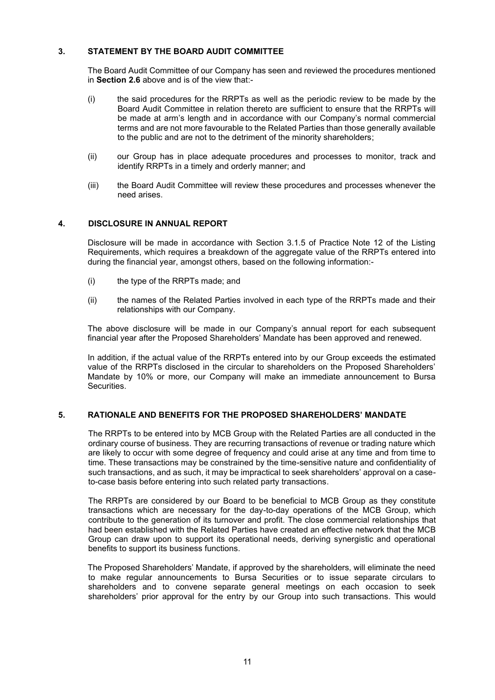# **3. STATEMENT BY THE BOARD AUDIT COMMITTEE**

The Board Audit Committee of our Company has seen and reviewed the procedures mentioned in **Section 2.6** above and is of the view that:-

- (i) the said procedures for the RRPTs as well as the periodic review to be made by the Board Audit Committee in relation thereto are sufficient to ensure that the RRPTs will be made at arm's length and in accordance with our Company's normal commercial terms and are not more favourable to the Related Parties than those generally available to the public and are not to the detriment of the minority shareholders;
- (ii) our Group has in place adequate procedures and processes to monitor, track and identify RRPTs in a timely and orderly manner; and
- (iii) the Board Audit Committee will review these procedures and processes whenever the need arises.

# **4. DISCLOSURE IN ANNUAL REPORT**

Disclosure will be made in accordance with Section 3.1.5 of Practice Note 12 of the Listing Requirements, which requires a breakdown of the aggregate value of the RRPTs entered into during the financial year, amongst others, based on the following information:-

- (i) the type of the RRPTs made; and
- (ii) the names of the Related Parties involved in each type of the RRPTs made and their relationships with our Company.

The above disclosure will be made in our Company's annual report for each subsequent financial year after the Proposed Shareholders' Mandate has been approved and renewed.

In addition, if the actual value of the RRPTs entered into by our Group exceeds the estimated value of the RRPTs disclosed in the circular to shareholders on the Proposed Shareholders' Mandate by 10% or more, our Company will make an immediate announcement to Bursa **Securities** 

### **5. RATIONALE AND BENEFITS FOR THE PROPOSED SHAREHOLDERS' MANDATE**

The RRPTs to be entered into by MCB Group with the Related Parties are all conducted in the ordinary course of business. They are recurring transactions of revenue or trading nature which are likely to occur with some degree of frequency and could arise at any time and from time to time. These transactions may be constrained by the time-sensitive nature and confidentiality of such transactions, and as such, it may be impractical to seek shareholders' approval on a caseto-case basis before entering into such related party transactions.

The RRPTs are considered by our Board to be beneficial to MCB Group as they constitute transactions which are necessary for the day-to-day operations of the MCB Group, which contribute to the generation of its turnover and profit. The close commercial relationships that had been established with the Related Parties have created an effective network that the MCB Group can draw upon to support its operational needs, deriving synergistic and operational benefits to support its business functions.

The Proposed Shareholders' Mandate, if approved by the shareholders, will eliminate the need to make regular announcements to Bursa Securities or to issue separate circulars to shareholders and to convene separate general meetings on each occasion to seek shareholders' prior approval for the entry by our Group into such transactions. This would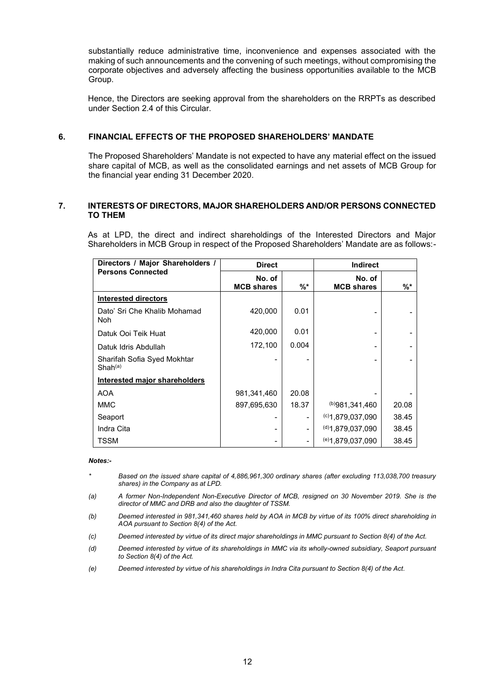substantially reduce administrative time, inconvenience and expenses associated with the making of such announcements and the convening of such meetings, without compromising the corporate objectives and adversely affecting the business opportunities available to the MCB Group.

Hence, the Directors are seeking approval from the shareholders on the RRPTs as described under Section 2.4 of this Circular.

#### **6. FINANCIAL EFFECTS OF THE PROPOSED SHAREHOLDERS' MANDATE**

The Proposed Shareholders' Mandate is not expected to have any material effect on the issued share capital of MCB, as well as the consolidated earnings and net assets of MCB Group for the financial year ending 31 December 2020.

#### **7. INTERESTS OF DIRECTORS, MAJOR SHAREHOLDERS AND/OR PERSONS CONNECTED TO THEM**

As at LPD, the direct and indirect shareholdings of the Interested Directors and Major Shareholders in MCB Group in respect of the Proposed Shareholders' Mandate are as follows:-

| Directors / Major Shareholders /                   | <b>Direct</b>               |       | <b>Indirect</b>             |       |
|----------------------------------------------------|-----------------------------|-------|-----------------------------|-------|
| <b>Persons Connected</b>                           | No. of<br><b>MCB shares</b> | $%$ * | No. of<br><b>MCB shares</b> | %*    |
| <b>Interested directors</b>                        |                             |       |                             |       |
| Dato' Sri Che Khalib Mohamad<br>Noh                | 420,000                     | 0.01  |                             |       |
| Datuk Ooi Teik Huat                                | 420,000                     | 0.01  |                             |       |
| Datuk Idris Abdullah                               | 172,100                     | 0.004 |                             |       |
| Sharifah Sofia Syed Mokhtar<br>Shah <sup>(a)</sup> |                             |       |                             |       |
| <b>Interested major shareholders</b>               |                             |       |                             |       |
| <b>AOA</b>                                         | 981,341,460                 | 20.08 |                             |       |
| <b>MMC</b>                                         | 897,695,630                 | 18.37 | (b)981.341.460              | 20.08 |
| Seaport                                            |                             |       | $(c)$ 1,879,037,090         | 38.45 |
| Indra Cita                                         |                             |       | $^{(d)}$ 1,879,037,090      | 38.45 |
| TSSM                                               |                             |       | $(e)$ 1,879,037,090         | 38.45 |

#### *Notes:-*

- *\* Based on the issued share capital of 4,886,961,300 ordinary shares (after excluding 113,038,700 treasury shares) in the Company as at LPD.*
- *(a) A former Non-Independent Non-Executive Director of MCB, resigned on 30 November 2019. She is the director of MMC and DRB and also the daughter of TSSM.*
- *(b) Deemed interested in 981,341,460 shares held by AOA in MCB by virtue of its 100% direct shareholding in AOA pursuant to Section 8(4) of the Act.*
- *(c) Deemed interested by virtue of its direct major shareholdings in MMC pursuant to Section 8(4) of the Act.*
- *(d) Deemed interested by virtue of its shareholdings in MMC via its wholly-owned subsidiary, Seaport pursuant to Section 8(4) of the Act.*
- *(e) Deemed interested by virtue of his shareholdings in Indra Cita pursuant to Section 8(4) of the Act.*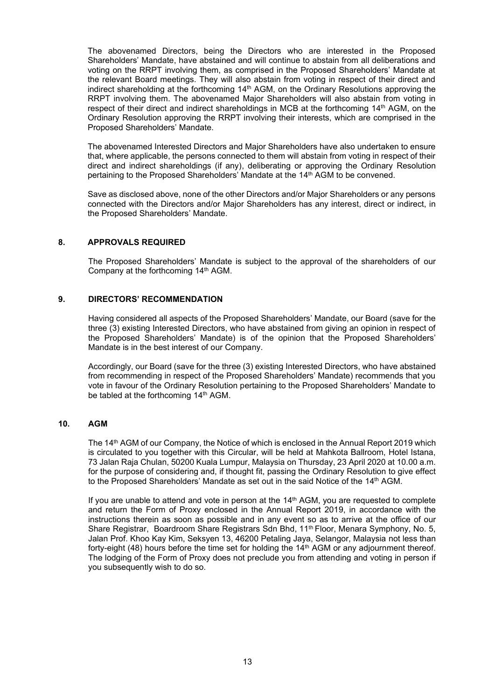The abovenamed Directors, being the Directors who are interested in the Proposed Shareholders' Mandate, have abstained and will continue to abstain from all deliberations and voting on the RRPT involving them, as comprised in the Proposed Shareholders' Mandate at the relevant Board meetings. They will also abstain from voting in respect of their direct and indirect shareholding at the forthcoming 14th AGM, on the Ordinary Resolutions approving the RRPT involving them. The abovenamed Major Shareholders will also abstain from voting in respect of their direct and indirect shareholdings in MCB at the forthcoming 14th AGM, on the Ordinary Resolution approving the RRPT involving their interests, which are comprised in the Proposed Shareholders' Mandate.

The abovenamed Interested Directors and Major Shareholders have also undertaken to ensure that, where applicable, the persons connected to them will abstain from voting in respect of their direct and indirect shareholdings (if any), deliberating or approving the Ordinary Resolution pertaining to the Proposed Shareholders' Mandate at the 14<sup>th</sup> AGM to be convened.

Save as disclosed above, none of the other Directors and/or Major Shareholders or any persons connected with the Directors and/or Major Shareholders has any interest, direct or indirect, in the Proposed Shareholders' Mandate.

## **8. APPROVALS REQUIRED**

The Proposed Shareholders' Mandate is subject to the approval of the shareholders of our Company at the forthcoming 14th AGM.

#### **9. DIRECTORS' RECOMMENDATION**

Having considered all aspects of the Proposed Shareholders' Mandate, our Board (save for the three (3) existing Interested Directors, who have abstained from giving an opinion in respect of the Proposed Shareholders' Mandate) is of the opinion that the Proposed Shareholders' Mandate is in the best interest of our Company.

Accordingly, our Board (save for the three (3) existing Interested Directors, who have abstained from recommending in respect of the Proposed Shareholders' Mandate) recommends that you vote in favour of the Ordinary Resolution pertaining to the Proposed Shareholders' Mandate to be tabled at the forthcoming 14<sup>th</sup> AGM.

# **10. AGM**

The 14<sup>th</sup> AGM of our Company, the Notice of which is enclosed in the Annual Report 2019 which is circulated to you together with this Circular, will be held at Mahkota Ballroom, Hotel Istana, 73 Jalan Raja Chulan, 50200 Kuala Lumpur, Malaysia on Thursday, 23 April 2020 at 10.00 a.m. for the purpose of considering and, if thought fit, passing the Ordinary Resolution to give effect to the Proposed Shareholders' Mandate as set out in the said Notice of the 14th AGM.

If you are unable to attend and vote in person at the 14<sup>th</sup> AGM, you are requested to complete and return the Form of Proxy enclosed in the Annual Report 2019, in accordance with the instructions therein as soon as possible and in any event so as to arrive at the office of our Share Registrar, Boardroom Share Registrars Sdn Bhd, 11<sup>th</sup> Floor, Menara Symphony, No. 5, Jalan Prof. Khoo Kay Kim, Seksyen 13, 46200 Petaling Jaya, Selangor, Malaysia not less than forty-eight (48) hours before the time set for holding the  $14<sup>th</sup>$  AGM or any adjournment thereof. The lodging of the Form of Proxy does not preclude you from attending and voting in person if you subsequently wish to do so.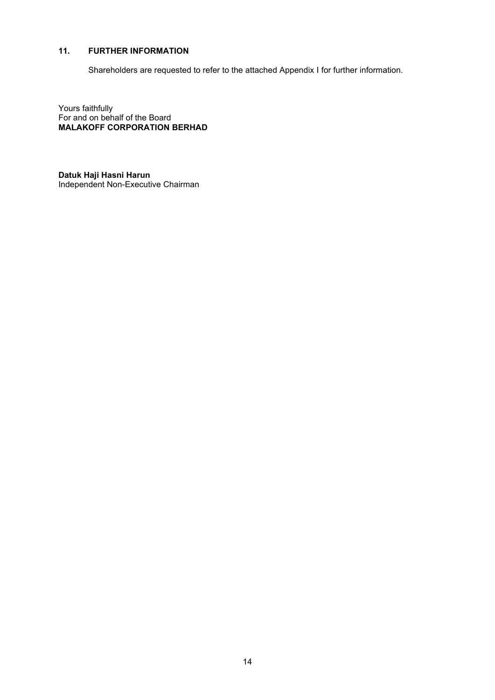# **11. FURTHER INFORMATION**

Shareholders are requested to refer to the attached Appendix I for further information.

Yours faithfully For and on behalf of the Board **MALAKOFF CORPORATION BERHAD**

**Datuk Haji Hasni Harun** Independent Non-Executive Chairman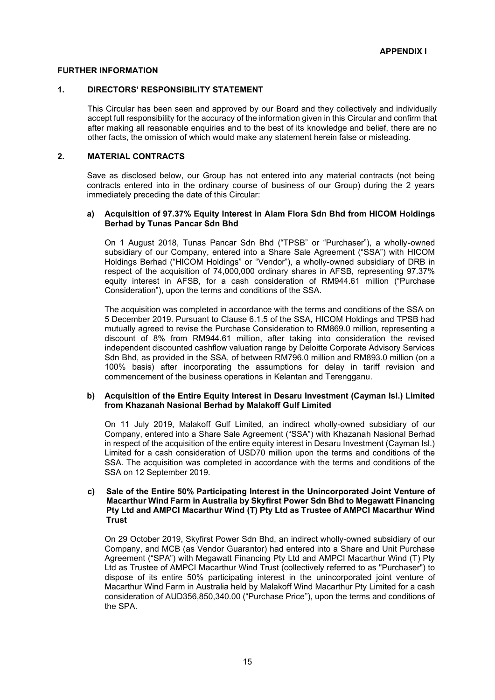### **FURTHER INFORMATION**

#### **1. DIRECTORS' RESPONSIBILITY STATEMENT**

This Circular has been seen and approved by our Board and they collectively and individually accept full responsibility for the accuracy of the information given in this Circular and confirm that after making all reasonable enquiries and to the best of its knowledge and belief, there are no other facts, the omission of which would make any statement herein false or misleading.

#### **2. MATERIAL CONTRACTS**

Save as disclosed below, our Group has not entered into any material contracts (not being contracts entered into in the ordinary course of business of our Group) during the 2 years immediately preceding the date of this Circular:

#### **a) Acquisition of 97.37% Equity Interest in Alam Flora Sdn Bhd from HICOM Holdings Berhad by Tunas Pancar Sdn Bhd**

On 1 August 2018, Tunas Pancar Sdn Bhd ("TPSB" or "Purchaser"), a wholly-owned subsidiary of our Company, entered into a Share Sale Agreement ("SSA") with HICOM Holdings Berhad ("HICOM Holdings" or "Vendor"), a wholly-owned subsidiary of DRB in respect of the acquisition of 74,000,000 ordinary shares in AFSB, representing 97.37% equity interest in AFSB, for a cash consideration of RM944.61 million ("Purchase Consideration"), upon the terms and conditions of the SSA.

The acquisition was completed in accordance with the terms and conditions of the SSA on 5 December 2019. Pursuant to Clause 6.1.5 of the SSA, HICOM Holdings and TPSB had mutually agreed to revise the Purchase Consideration to RM869.0 million, representing a discount of 8% from RM944.61 million, after taking into consideration the revised independent discounted cashflow valuation range by Deloitte Corporate Advisory Services Sdn Bhd, as provided in the SSA, of between RM796.0 million and RM893.0 million (on a 100% basis) after incorporating the assumptions for delay in tariff revision and commencement of the business operations in Kelantan and Terengganu.

#### **b) Acquisition of the Entire Equity Interest in Desaru Investment (Cayman Isl.) Limited from Khazanah Nasional Berhad by Malakoff Gulf Limited**

On 11 July 2019, Malakoff Gulf Limited, an indirect wholly-owned subsidiary of our Company, entered into a Share Sale Agreement ("SSA") with Khazanah Nasional Berhad in respect of the acquisition of the entire equity interest in Desaru Investment (Cayman Isl.) Limited for a cash consideration of USD70 million upon the terms and conditions of the SSA. The acquisition was completed in accordance with the terms and conditions of the SSA on 12 September 2019.

#### **c) Sale of the Entire 50% Participating Interest in the Unincorporated Joint Venture of Macarthur Wind Farm in Australia by Skyfirst Power Sdn Bhd to Megawatt Financing Pty Ltd and AMPCI Macarthur Wind (T) Pty Ltd as Trustee of AMPCI Macarthur Wind Trust**

On 29 October 2019, Skyfirst Power Sdn Bhd, an indirect wholly-owned subsidiary of our Company, and MCB (as Vendor Guarantor) had entered into a Share and Unit Purchase Agreement ("SPA") with Megawatt Financing Pty Ltd and AMPCI Macarthur Wind (T) Pty Ltd as Trustee of AMPCI Macarthur Wind Trust (collectively referred to as "Purchaser") to dispose of its entire 50% participating interest in the unincorporated joint venture of Macarthur Wind Farm in Australia held by Malakoff Wind Macarthur Pty Limited for a cash consideration of AUD356,850,340.00 ("Purchase Price"), upon the terms and conditions of the SPA.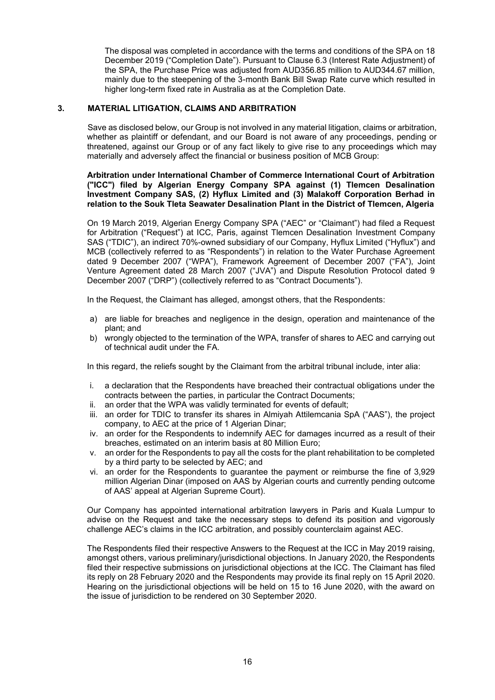The disposal was completed in accordance with the terms and conditions of the SPA on 18 December 2019 ("Completion Date"). Pursuant to Clause 6.3 (Interest Rate Adjustment) of the SPA, the Purchase Price was adjusted from AUD356.85 million to AUD344.67 million, mainly due to the steepening of the 3-month Bank Bill Swap Rate curve which resulted in higher long-term fixed rate in Australia as at the Completion Date.

# **3. MATERIAL LITIGATION, CLAIMS AND ARBITRATION**

Save as disclosed below, our Group is not involved in any material litigation, claims or arbitration, whether as plaintiff or defendant, and our Board is not aware of any proceedings, pending or threatened, against our Group or of any fact likely to give rise to any proceedings which may materially and adversely affect the financial or business position of MCB Group:

#### **Arbitration under International Chamber of Commerce International Court of Arbitration ("ICC") filed by Algerian Energy Company SPA against (1) Tlemcen Desalination Investment Company SAS, (2) Hyflux Limited and (3) Malakoff Corporation Berhad in relation to the Souk Tleta Seawater Desalination Plant in the District of Tlemcen, Algeria**

On 19 March 2019, Algerian Energy Company SPA ("AEC" or "Claimant") had filed a Request for Arbitration ("Request") at ICC, Paris, against Tlemcen Desalination Investment Company SAS ("TDIC"), an indirect 70%-owned subsidiary of our Company, Hyflux Limited ("Hyflux") and MCB (collectively referred to as "Respondents") in relation to the Water Purchase Agreement dated 9 December 2007 ("WPA"), Framework Agreement of December 2007 ("FA"), Joint Venture Agreement dated 28 March 2007 ("JVA") and Dispute Resolution Protocol dated 9 December 2007 ("DRP") (collectively referred to as "Contract Documents").

In the Request, the Claimant has alleged, amongst others, that the Respondents:

- a) are liable for breaches and negligence in the design, operation and maintenance of the plant; and
- b) wrongly objected to the termination of the WPA, transfer of shares to AEC and carrying out of technical audit under the FA.

In this regard, the reliefs sought by the Claimant from the arbitral tribunal include, inter alia:

- i. a declaration that the Respondents have breached their contractual obligations under the contracts between the parties, in particular the Contract Documents;
- ii. an order that the WPA was validly terminated for events of default;
- iii. an order for TDIC to transfer its shares in Almiyah Attilemcania SpA ("AAS"), the project company, to AEC at the price of 1 Algerian Dinar;
- iv. an order for the Respondents to indemnify AEC for damages incurred as a result of their breaches, estimated on an interim basis at 80 Million Euro;
- v. an order for the Respondents to pay all the costs for the plant rehabilitation to be completed by a third party to be selected by AEC; and
- vi. an order for the Respondents to guarantee the payment or reimburse the fine of 3,929 million Algerian Dinar (imposed on AAS by Algerian courts and currently pending outcome of AAS' appeal at Algerian Supreme Court).

Our Company has appointed international arbitration lawyers in Paris and Kuala Lumpur to advise on the Request and take the necessary steps to defend its position and vigorously challenge AEC's claims in the ICC arbitration, and possibly counterclaim against AEC.

The Respondents filed their respective Answers to the Request at the ICC in May 2019 raising, amongst others, various preliminary/jurisdictional objections. In January 2020, the Respondents filed their respective submissions on jurisdictional objections at the ICC. The Claimant has filed its reply on 28 February 2020 and the Respondents may provide its final reply on 15 April 2020. Hearing on the jurisdictional objections will be held on 15 to 16 June 2020, with the award on the issue of jurisdiction to be rendered on 30 September 2020.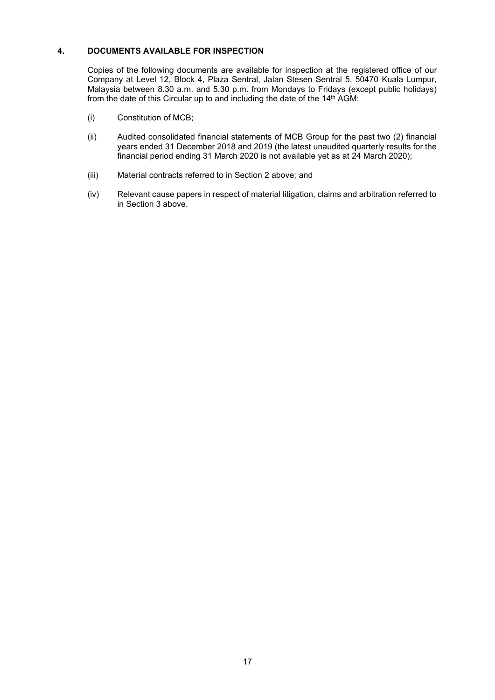# **4. DOCUMENTS AVAILABLE FOR INSPECTION**

Copies of the following documents are available for inspection at the registered office of our Company at Level 12, Block 4, Plaza Sentral, Jalan Stesen Sentral 5, 50470 Kuala Lumpur, Malaysia between 8.30 a.m. and 5.30 p.m. from Mondays to Fridays (except public holidays) from the date of this Circular up to and including the date of the  $14<sup>th</sup>$  AGM:

- (i) Constitution of MCB;
- (ii) Audited consolidated financial statements of MCB Group for the past two (2) financial years ended 31 December 2018 and 2019 (the latest unaudited quarterly results for the financial period ending 31 March 2020 is not available yet as at 24 March 2020);
- (iii) Material contracts referred to in Section 2 above; and
- (iv) Relevant cause papers in respect of material litigation, claims and arbitration referred to in Section 3 above.